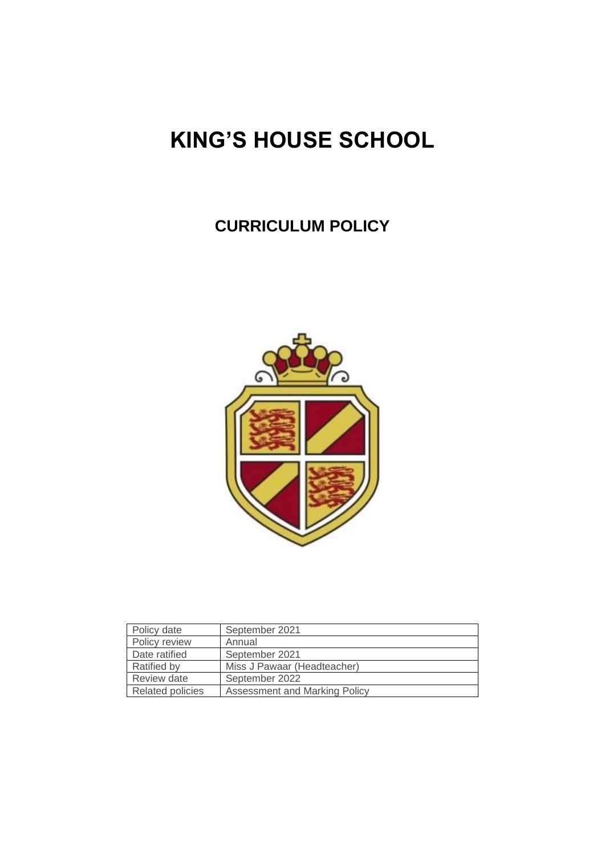# **KING'S HOUSE SCHOOL**

## **CURRICULUM POLICY**



| Policy date             | September 2021                |  |
|-------------------------|-------------------------------|--|
| Policy review           | Annual                        |  |
| Date ratified           | September 2021                |  |
| <b>Ratified by</b>      | Miss J Pawaar (Headteacher)   |  |
| Review date             | September 2022                |  |
| <b>Related policies</b> | Assessment and Marking Policy |  |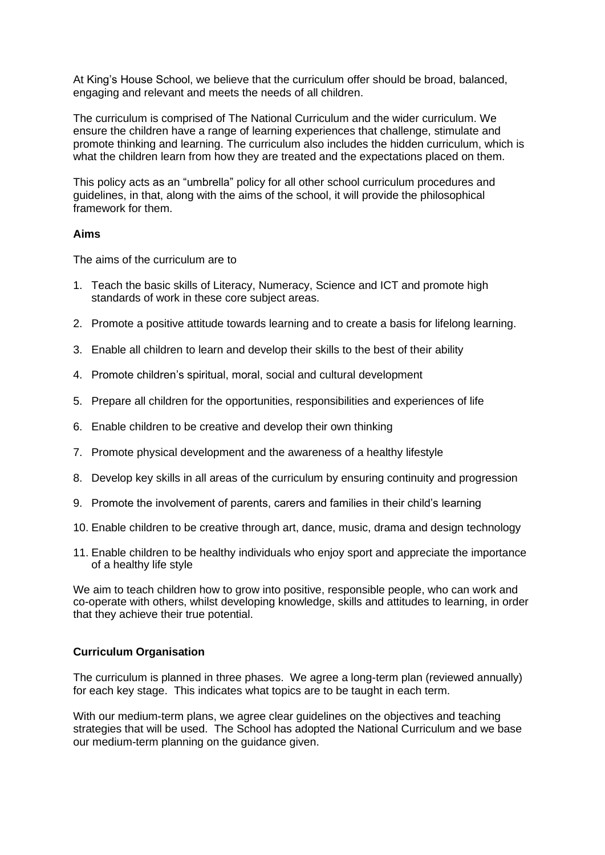At King's House School, we believe that the curriculum offer should be broad, balanced, engaging and relevant and meets the needs of all children.

The curriculum is comprised of The National Curriculum and the wider curriculum. We ensure the children have a range of learning experiences that challenge, stimulate and promote thinking and learning. The curriculum also includes the hidden curriculum, which is what the children learn from how they are treated and the expectations placed on them.

This policy acts as an "umbrella" policy for all other school curriculum procedures and guidelines, in that, along with the aims of the school, it will provide the philosophical framework for them.

#### **Aims**

The aims of the curriculum are to

- 1. Teach the basic skills of Literacy, Numeracy, Science and ICT and promote high standards of work in these core subject areas.
- 2. Promote a positive attitude towards learning and to create a basis for lifelong learning.
- 3. Enable all children to learn and develop their skills to the best of their ability
- 4. Promote children's spiritual, moral, social and cultural development
- 5. Prepare all children for the opportunities, responsibilities and experiences of life
- 6. Enable children to be creative and develop their own thinking
- 7. Promote physical development and the awareness of a healthy lifestyle
- 8. Develop key skills in all areas of the curriculum by ensuring continuity and progression
- 9. Promote the involvement of parents, carers and families in their child's learning
- 10. Enable children to be creative through art, dance, music, drama and design technology
- 11. Enable children to be healthy individuals who enjoy sport and appreciate the importance of a healthy life style

We aim to teach children how to grow into positive, responsible people, who can work and co-operate with others, whilst developing knowledge, skills and attitudes to learning, in order that they achieve their true potential.

#### **Curriculum Organisation**

The curriculum is planned in three phases. We agree a long-term plan (reviewed annually) for each key stage. This indicates what topics are to be taught in each term.

With our medium-term plans, we agree clear guidelines on the objectives and teaching strategies that will be used. The School has adopted the National Curriculum and we base our medium-term planning on the guidance given.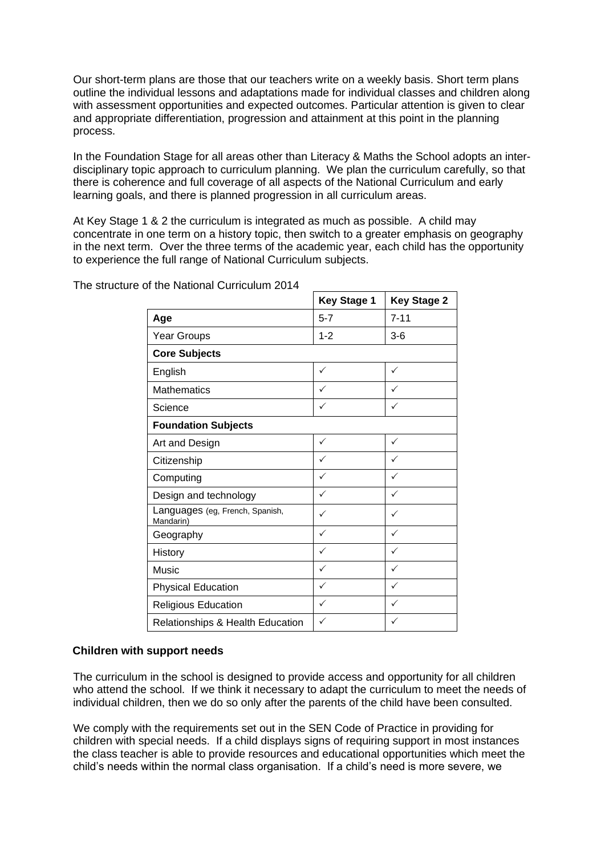Our short-term plans are those that our teachers write on a weekly basis. Short term plans outline the individual lessons and adaptations made for individual classes and children along with assessment opportunities and expected outcomes. Particular attention is given to clear and appropriate differentiation, progression and attainment at this point in the planning process.

In the Foundation Stage for all areas other than Literacy & Maths the School adopts an interdisciplinary topic approach to curriculum planning. We plan the curriculum carefully, so that there is coherence and full coverage of all aspects of the National Curriculum and early learning goals, and there is planned progression in all curriculum areas.

At Key Stage 1 & 2 the curriculum is integrated as much as possible. A child may concentrate in one term on a history topic, then switch to a greater emphasis on geography in the next term. Over the three terms of the academic year, each child has the opportunity to experience the full range of National Curriculum subjects.

|                                              | <b>Key Stage 1</b> | <b>Key Stage 2</b> |  |
|----------------------------------------------|--------------------|--------------------|--|
| Age                                          | $5 - 7$            | $7 - 11$           |  |
| Year Groups                                  | $1 - 2$            | $3-6$              |  |
| <b>Core Subjects</b>                         |                    |                    |  |
| English                                      | ✓                  | ✓                  |  |
| <b>Mathematics</b>                           |                    |                    |  |
| Science                                      | ✓                  |                    |  |
| <b>Foundation Subjects</b>                   |                    |                    |  |
| Art and Design                               | $\checkmark$       | $\checkmark$       |  |
| Citizenship                                  | ✓                  | ✓                  |  |
| Computing                                    | ✓                  | $\checkmark$       |  |
| Design and technology                        | ✓                  | ✓                  |  |
| Languages (eg, French, Spanish,<br>Mandarin) | ✓                  | ✓                  |  |
| Geography                                    | ✓                  | $\checkmark$       |  |
| History                                      | ✓                  | ✓                  |  |
| Music                                        | ✓                  | ✓                  |  |
| <b>Physical Education</b>                    | ✓                  |                    |  |
| <b>Religious Education</b>                   | ✓                  |                    |  |
| Relationships & Health Education             | ✓                  |                    |  |

The structure of the National Curriculum 2014

#### **Children with support needs**

The curriculum in the school is designed to provide access and opportunity for all children who attend the school. If we think it necessary to adapt the curriculum to meet the needs of individual children, then we do so only after the parents of the child have been consulted.

We comply with the requirements set out in the SEN Code of Practice in providing for children with special needs. If a child displays signs of requiring support in most instances the class teacher is able to provide resources and educational opportunities which meet the child's needs within the normal class organisation. If a child's need is more severe, we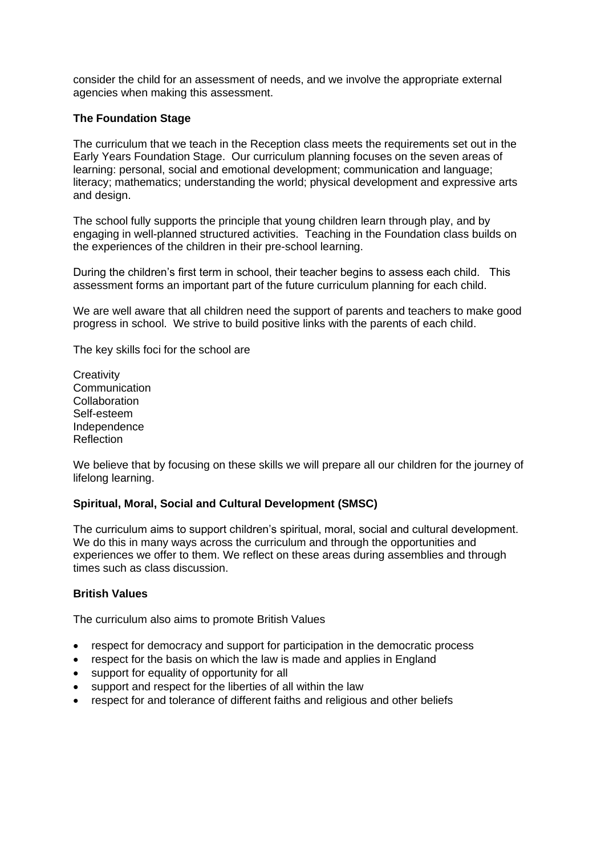consider the child for an assessment of needs, and we involve the appropriate external agencies when making this assessment.

#### **The Foundation Stage**

The curriculum that we teach in the Reception class meets the requirements set out in the Early Years Foundation Stage. Our curriculum planning focuses on the seven areas of learning: personal, social and emotional development; communication and language; literacy; mathematics; understanding the world; physical development and expressive arts and design.

The school fully supports the principle that young children learn through play, and by engaging in well-planned structured activities. Teaching in the Foundation class builds on the experiences of the children in their pre-school learning.

During the children's first term in school, their teacher begins to assess each child. This assessment forms an important part of the future curriculum planning for each child.

We are well aware that all children need the support of parents and teachers to make good progress in school. We strive to build positive links with the parents of each child.

The key skills foci for the school are

**Creativity Communication Collaboration** Self-esteem Independence **Reflection** 

We believe that by focusing on these skills we will prepare all our children for the journey of lifelong learning.

#### **Spiritual, Moral, Social and Cultural Development (SMSC)**

The curriculum aims to support children's spiritual, moral, social and cultural development. We do this in many ways across the curriculum and through the opportunities and experiences we offer to them. We reflect on these areas during assemblies and through times such as class discussion.

#### **British Values**

The curriculum also aims to promote British Values

- respect for democracy and support for participation in the democratic process
- respect for the basis on which the law is made and applies in England
- support for equality of opportunity for all
- support and respect for the liberties of all within the law
- respect for and tolerance of different faiths and religious and other beliefs